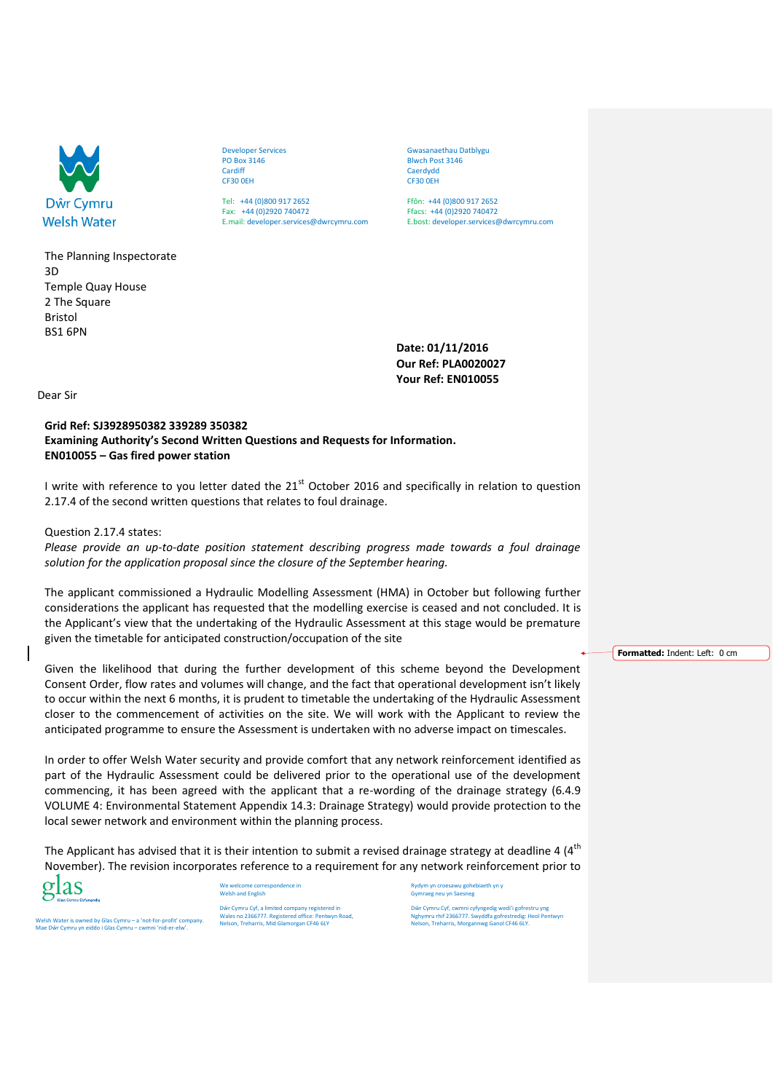

The Planning Inspectorate 3D Temple Quay House 2 The Square Bristol BS1 6PN

Developer Services PO Box 3146 Cardiff CF30 0EH

Tel: +44 (0)800 917 2652 Fax: +44 (0)2920 740472 E.mail: developer.services@dwrcymru.com Gwasanaethau Datblygu Blwch Post 3146 Caerdydd CF30 0EH

Ffôn: +44 (0)800 917 2652 Ffacs: +44 (0)2920 740472 E.bost: developer.services@dwrcymru.com

**Date: 01/11/2016 Our Ref: PLA0020027 Your Ref: EN010055**

Dear Sir

## **Grid Ref: SJ3928950382 339289 350382 Examining Authority's Second Written Questions and Requests for Information. EN010055 – Gas fired power station**

I write with reference to you letter dated the 21<sup>st</sup> October 2016 and specifically in relation to question 2.17.4 of the second written questions that relates to foul drainage.

## Question 2.17.4 states:

*Please provide an up-to-date position statement describing progress made towards a foul drainage solution for the application proposal since the closure of the September hearing.* 

The applicant commissioned a Hydraulic Modelling Assessment (HMA) in October but following further considerations the applicant has requested that the modelling exercise is ceased and not concluded. It is the Applicant's view that the undertaking of the Hydraulic Assessment at this stage would be premature given the timetable for anticipated construction/occupation of the site

Given the likelihood that during the further development of this scheme beyond the Development Consent Order, flow rates and volumes will change, and the fact that operational development isn't likely to occur within the next 6 months, it is prudent to timetable the undertaking of the Hydraulic Assessment closer to the commencement of activities on the site. We will work with the Applicant to review the anticipated programme to ensure the Assessment is undertaken with no adverse impact on timescales.

In order to offer Welsh Water security and provide comfort that any network reinforcement identified as part of the Hydraulic Assessment could be delivered prior to the operational use of the development commencing, it has been agreed with the applicant that a re-wording of the drainage strategy (6.4.9 VOLUME 4: Environmental Statement Appendix 14.3: Drainage Strategy) would provide protection to the local sewer network and environment within the planning process.

The Applicant has advised that it is their intention to submit a revised drainage strategy at deadline 4  $(4<sup>th</sup>$ November). The revision incorporates reference to a requirement for any network reinforcement prior to



We welcome correspondence in Welsh and English

> Dŵr Cymru Cyf, a limited company registered in Wales no 2366777. Registered office: Pentwyn Road, Nelson, Treharris, Mid Glamorgan CF46 6LY

Rydym yn croesawu gohe Gymraeg neu yn Saesneg

Dŵr Cymru Cyf, cwmni cyfyngedig wedi'i gofrestru yng Nghymru rhif 2366777. Swyddfa gofrestredig: Heol Pentwyn Nelson, Treharris, Morgannwg Ganol CF46 6LY.

**Formatted:** Indent: Left: 0 cm

Welsh Water is owned by Glas Cymru – a 'not-for-profit' company. Mae Dŵr Cymru yn eiddo i Glas Cymru – cwmni 'nid-er-elw'.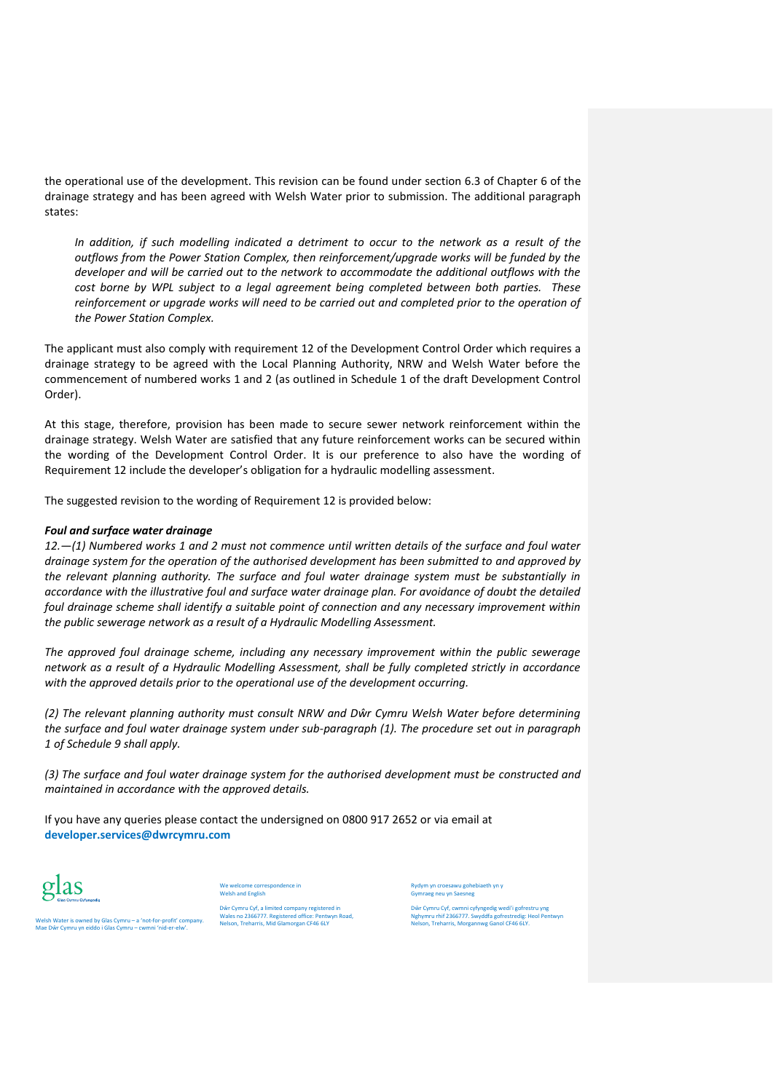the operational use of the development. This revision can be found under section 6.3 of Chapter 6 of the drainage strategy and has been agreed with Welsh Water prior to submission. The additional paragraph states:

*In addition, if such modelling indicated a detriment to occur to the network as a result of the outflows from the Power Station Complex, then reinforcement/upgrade works will be funded by the developer and will be carried out to the network to accommodate the additional outflows with the cost borne by WPL subject to a legal agreement being completed between both parties. These*  reinforcement or upgrade works will need to be carried out and completed prior to the operation of *the Power Station Complex.*

The applicant must also comply with requirement 12 of the Development Control Order which requires a drainage strategy to be agreed with the Local Planning Authority, NRW and Welsh Water before the commencement of numbered works 1 and 2 (as outlined in Schedule 1 of the draft Development Control Order).

At this stage, therefore, provision has been made to secure sewer network reinforcement within the drainage strategy. Welsh Water are satisfied that any future reinforcement works can be secured within the wording of the Development Control Order. It is our preference to also have the wording of Requirement 12 include the developer's obligation for a hydraulic modelling assessment.

The suggested revision to the wording of Requirement 12 is provided below:

## *Foul and surface water drainage*

*12.—(1) Numbered works 1 and 2 must not commence until written details of the surface and foul water drainage system for the operation of the authorised development has been submitted to and approved by the relevant planning authority. The surface and foul water drainage system must be substantially in accordance with the illustrative foul and surface water drainage plan. For avoidance of doubt the detailed foul drainage scheme shall identify a suitable point of connection and any necessary improvement within the public sewerage network as a result of a Hydraulic Modelling Assessment.* 

*The approved foul drainage scheme, including any necessary improvement within the public sewerage network as a result of a Hydraulic Modelling Assessment, shall be fully completed strictly in accordance with the approved details prior to the operational use of the development occurring.*

*(2) The relevant planning authority must consult NRW and Dŵr Cymru Welsh Water before determining the surface and foul water drainage system under sub-paragraph (1). The procedure set out in paragraph 1 of Schedule 9 shall apply.* 

*(3) The surface and foul water drainage system for the authorised development must be constructed and maintained in accordance with the approved details.*

If you have any queries please contact the undersigned on 0800 917 2652 or via email at **developer.services@dwrcymru.com**



We welcome correspondence in Welsh and English

Welsh Water is owned by Glas Cymru – a 'not-for-profit' company. Mae Dŵr Cymru yn eiddo i Glas Cymru – cwmni 'nid-er-elw'.

Dŵr Cymru Cyf, a limited company registered in Wales no 2366777. Registered office: Pentwyn Road, Nelson, Treharris, Mid Glamorgan CF46 6LY

Rydym yn croesawu gohebiaeth yn y Gymraeg neu yn Saesneg

Dŵr Cymru Cyf, cwmni cyfyngedig wedi'i gofrestru yng Nghymru rhif 2366777. Swyddfa gofrestredig: Heol Pentwyn Nelson, Treharris, Morgannwg Ganol CF46 6LY.